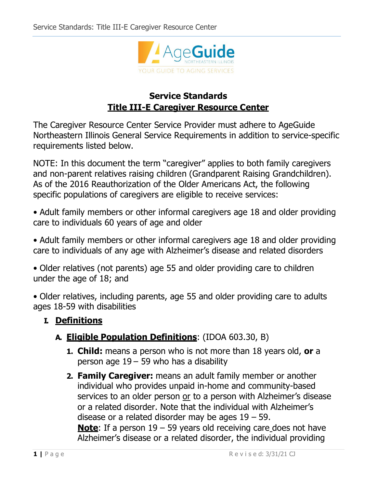

# **Service Standards Title III-E Caregiver Resource Center**

The Caregiver Resource Center Service Provider must adhere to AgeGuide Northeastern Illinois General Service Requirements in addition to service-specific requirements listed below.

NOTE: In this document the term "caregiver" applies to both family caregivers and non-parent relatives raising children (Grandparent Raising Grandchildren). As of the 2016 Reauthorization of the Older Americans Act, the following specific populations of caregivers are eligible to receive services:

• Adult family members or other informal caregivers age 18 and older providing care to individuals 60 years of age and older

• Adult family members or other informal caregivers age 18 and older providing care to individuals of any age with Alzheimer's disease and related disorders

• Older relatives (not parents) age 55 and older providing care to children under the age of 18; and

• Older relatives, including parents, age 55 and older providing care to adults ages 18-59 with disabilities

## **I. Definitions**

## **A. Eligible Population Definitions**: (IDOA 603.30, B)

- **1. Child:** means a person who is not more than 18 years old, **or** a person age  $19 - 59$  who has a disability
- **2. Family Caregiver:** means an adult family member or another individual who provides unpaid in-home and community-based services to an older person or to a person with Alzheimer's disease or a related disorder. Note that the individual with Alzheimer's disease or a related disorder may be ages 19 – 59. **Note**: If a person 19 – 59 years old receiving care does not have Alzheimer's disease or a related disorder, the individual providing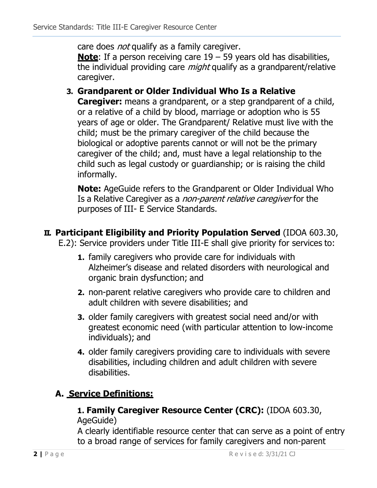care does *not* qualify as a family caregiver.

**Note**: If a person receiving care 19 – 59 years old has disabilities, the individual providing care *might* qualify as a grandparent/relative caregiver.

### **3. Grandparent or Older Individual Who Is a Relative**

**Caregiver:** means a grandparent, or a step grandparent of a child, or a relative of a child by blood, marriage or adoption who is 55 years of age or older. The Grandparent/ Relative must live with the child; must be the primary caregiver of the child because the biological or adoptive parents cannot or will not be the primary caregiver of the child; and, must have a legal relationship to the child such as legal custody or guardianship; or is raising the child informally.

**Note:** AgeGuide refers to the Grandparent or Older Individual Who Is a Relative Caregiver as a non-parent relative caregiver for the purposes of III- E Service Standards.

#### **II. Participant Eligibility and Priority Population Served** (IDOA 603.30,

E.2): Service providers under Title III-E shall give priority for services to:

- **1.** family caregivers who provide care for individuals with Alzheimer's disease and related disorders with neurological and organic brain dysfunction; and
- **2.** non-parent relative caregivers who provide care to children and adult children with severe disabilities; and
- **3.** older family caregivers with greatest social need and/or with greatest economic need (with particular attention to low-income individuals); and
- **4.** older family caregivers providing care to individuals with severe disabilities, including children and adult children with severe disabilities.

# **A. Service Definitions:**

#### **1. Family Caregiver Resource Center (CRC):** (IDOA 603.30, AgeGuide)

A clearly identifiable resource center that can serve as a point of entry to a broad range of services for family caregivers and non-parent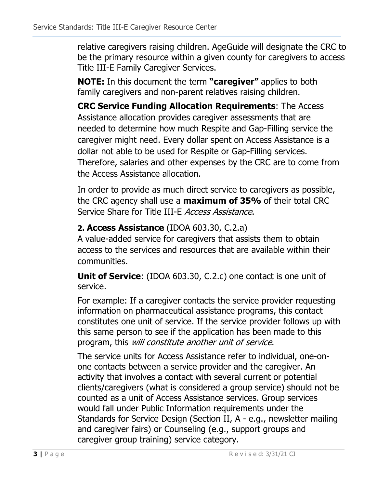relative caregivers raising children. AgeGuide will designate the CRC to be the primary resource within a given county for caregivers to access Title III-E Family Caregiver Services.

**NOTE:** In this document the term **"caregiver"** applies to both family caregivers and non-parent relatives raising children.

**CRC Service Funding Allocation Requirements**: The Access Assistance allocation provides caregiver assessments that are needed to determine how much Respite and Gap-Filling service the caregiver might need. Every dollar spent on Access Assistance is a dollar not able to be used for Respite or Gap-Filling services. Therefore, salaries and other expenses by the CRC are to come from the Access Assistance allocation.

In order to provide as much direct service to caregivers as possible, the CRC agency shall use a **maximum of 35%** of their total CRC Service Share for Title III-E Access Assistance.

# **2. Access Assistance** (IDOA 603.30, C.2.a)

A value-added service for caregivers that assists them to obtain access to the services and resources that are available within their communities.

**Unit of Service**: (IDOA 603.30, C.2.c) one contact is one unit of service.

For example: If a caregiver contacts the service provider requesting information on pharmaceutical assistance programs, this contact constitutes one unit of service. If the service provider follows up with this same person to see if the application has been made to this program, this will constitute another unit of service.

The service units for Access Assistance refer to individual, one-onone contacts between a service provider and the caregiver. An activity that involves a contact with several current or potential clients/caregivers (what is considered a group service) should not be counted as a unit of Access Assistance services. Group services would fall under Public Information requirements under the Standards for Service Design (Section II, A - e.g., newsletter mailing and caregiver fairs) or Counseling (e.g., support groups and caregiver group training) service category.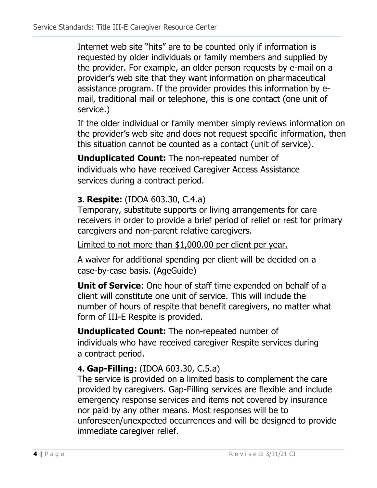Internet web site "hits" are to be counted only if information is requested by older individuals or family members and supplied by the provider. For example, an older person requests by e-mail on a provider's web site that they want information on pharmaceutical assistance program. If the provider provides this information by email, traditional mail or telephone, this is one contact (one unit of service.)

If the older individual or family member simply reviews information on the provider's web site and does not request specific information, then this situation cannot be counted as a contact (unit of service).

**Unduplicated Count:** The non-repeated number of individuals who have received Caregiver Access Assistance services during a contract period.

## **3. Respite:** (IDOA 603.30, C.4.a)

Temporary, substitute supports or living arrangements for care receivers in order to provide a brief period of relief or rest for primary caregivers and non-parent relative caregivers.

Limited to not more than \$1,000.00 per client per year.

A waiver for additional spending per client will be decided on a case-by-case basis. (AgeGuide)

**Unit of Service**: One hour of staff time expended on behalf of a client will constitute one unit of service. This will include the number of hours of respite that benefit caregivers, no matter what form of III-E Respite is provided.

**Unduplicated Count:** The non-repeated number of individuals who have received caregiver Respite services during a contract period.

## **4. Gap-Filling:** (IDOA 603.30, C.5.a)

The service is provided on a limited basis to complement the care provided by caregivers. Gap-Filling services are flexible and include emergency response services and items not covered by insurance nor paid by any other means. Most responses will be to unforeseen/unexpected occurrences and will be designed to provide immediate caregiver relief.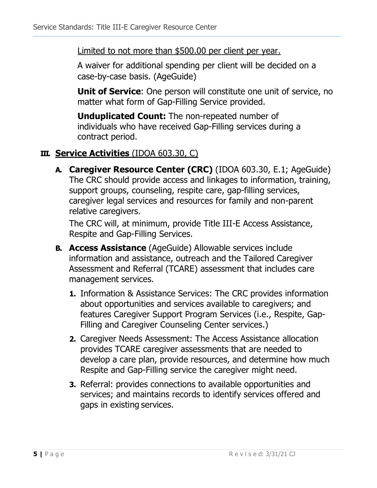#### Limited to not more than \$500.00 per client per year.

A waiver for additional spending per client will be decided on a case-by-case basis. (AgeGuide)

**Unit of Service**: One person will constitute one unit of service, no matter what form of Gap-Filling Service provided.

**Unduplicated Count:** The non-repeated number of individuals who have received Gap-Filling services during a contract period.

## **III. Service Activities** (IDOA 603.30, C)

**A. Caregiver Resource Center (CRC)** (IDOA 603.30, E.1; AgeGuide) The CRC should provide access and linkages to information, training, support groups, counseling, respite care, gap-filling services, caregiver legal services and resources for family and non-parent relative caregivers.

The CRC will, at minimum, provide Title III-E Access Assistance, Respite and Gap-Filling Services.

- **B. Access Assistance** (AgeGuide) Allowable services include information and assistance, outreach and the Tailored Caregiver Assessment and Referral (TCARE) assessment that includes care management services.
	- **1.** Information & Assistance Services: The CRC provides information about opportunities and services available to caregivers; and features Caregiver Support Program Services (i.e., Respite, Gap-Filling and Caregiver Counseling Center services.)
	- **2.** Caregiver Needs Assessment: The Access Assistance allocation provides TCARE caregiver assessments that are needed to develop a care plan, provide resources, and determine how much Respite and Gap-Filling service the caregiver might need.
	- **3.** Referral: provides connections to available opportunities and services; and maintains records to identify services offered and gaps in existing services.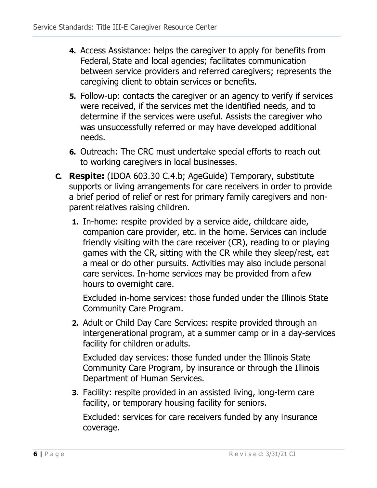- **4.** Access Assistance: helps the caregiver to apply for benefits from Federal, State and local agencies; facilitates communication between service providers and referred caregivers; represents the caregiving client to obtain services or benefits.
- **5.** Follow-up: contacts the caregiver or an agency to verify if services were received, if the services met the identified needs, and to determine if the services were useful. Assists the caregiver who was unsuccessfully referred or may have developed additional needs.
- **6.** Outreach: The CRC must undertake special efforts to reach out to working caregivers in local businesses.
- **C. Respite:** (IDOA 603.30 C.4.b; AgeGuide) Temporary, substitute supports or living arrangements for care receivers in order to provide a brief period of relief or rest for primary family caregivers and nonparent relatives raising children.
	- **1.** In-home: respite provided by a service aide, childcare aide, companion care provider, etc. in the home. Services can include friendly visiting with the care receiver (CR), reading to or playing games with the CR, sitting with the CR while they sleep/rest, eat a meal or do other pursuits. Activities may also include personal care services. In-home services may be provided from a few hours to overnight care.

Excluded in-home services: those funded under the Illinois State Community Care Program.

**2.** Adult or Child Day Care Services: respite provided through an intergenerational program, at a summer camp or in a day-services facility for children or adults.

Excluded day services: those funded under the Illinois State Community Care Program, by insurance or through the Illinois Department of Human Services.

**3.** Facility: respite provided in an assisted living, long-term care facility, or temporary housing facility for seniors.

Excluded: services for care receivers funded by any insurance coverage.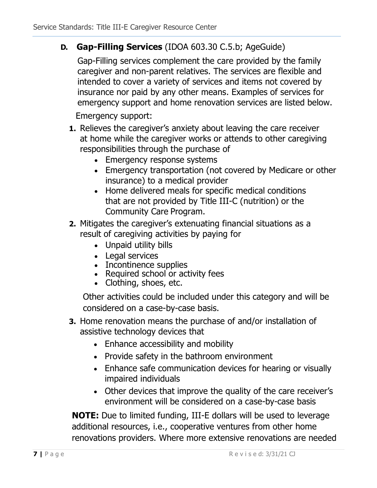### **D. Gap-Filling Services** (IDOA 603.30 C.5.b; AgeGuide)

Gap-Filling services complement the care provided by the family caregiver and non-parent relatives. The services are flexible and intended to cover a variety of services and items not covered by insurance nor paid by any other means. Examples of services for emergency support and home renovation services are listed below.

Emergency support:

- **1.** Relieves the caregiver's anxiety about leaving the care receiver at home while the caregiver works or attends to other caregiving responsibilities through the purchase of
	- Emergency response systems
	- Emergency transportation (not covered by Medicare or other insurance) to a medical provider
	- Home delivered meals for specific medical conditions that are not provided by Title III-C (nutrition) or the Community Care Program.
- **2.** Mitigates the caregiver's extenuating financial situations as a result of caregiving activities by paying for
	- Unpaid utility bills
	- Legal services
	- Incontinence supplies
	- Required school or activity fees
	- Clothing, shoes, etc.

Other activities could be included under this category and will be considered on a case-by-case basis.

- **3.** Home renovation means the purchase of and/or installation of assistive technology devices that
	- Enhance accessibility and mobility
	- Provide safety in the bathroom environment
	- Enhance safe communication devices for hearing or visually impaired individuals
	- Other devices that improve the quality of the care receiver's environment will be considered on a case-by-case basis

**NOTE:** Due to limited funding, III-E dollars will be used to leverage additional resources, i.e., cooperative ventures from other home renovations providers. Where more extensive renovations are needed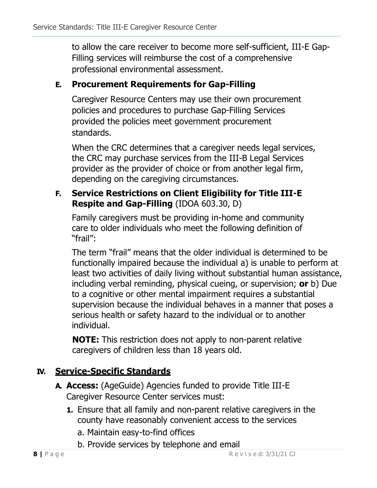to allow the care receiver to become more self-sufficient, III-E Gap-Filling services will reimburse the cost of a comprehensive professional environmental assessment.

## **E. Procurement Requirements for Gap-Filling**

Caregiver Resource Centers may use their own procurement policies and procedures to purchase Gap-Filling Services provided the policies meet government procurement standards.

When the CRC determines that a caregiver needs legal services, the CRC may purchase services from the III-B Legal Services provider as the provider of choice or from another legal firm, depending on the caregiving circumstances.

### **F. Service Restrictions on Client Eligibility for Title III-E Respite and Gap-Filling** (IDOA 603.30, D)

Family caregivers must be providing in-home and community care to older individuals who meet the following definition of "frail":

The term "frail" means that the older individual is determined to be functionally impaired because the individual a) is unable to perform at least two activities of daily living without substantial human assistance, including verbal reminding, physical cueing, or supervision; **or** b) Due to a cognitive or other mental impairment requires a substantial supervision because the individual behaves in a manner that poses a serious health or safety hazard to the individual or to another individual.

**NOTE:** This restriction does not apply to non-parent relative caregivers of children less than 18 years old.

# **IV. Service-Specific Standards**

- **A. Access:** (AgeGuide) Agencies funded to provide Title III-E Caregiver Resource Center services must:
	- **1.** Ensure that all family and non-parent relative caregivers in the county have reasonably convenient access to the services
		- a. Maintain easy-to-find offices
		- b. Provide services by telephone and email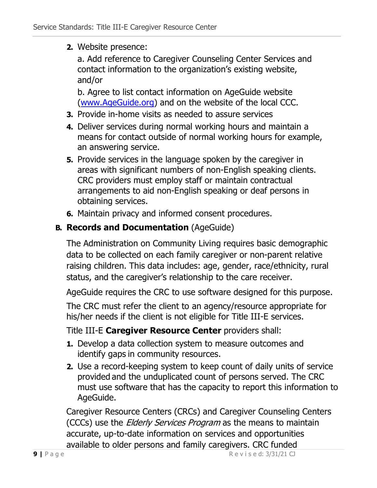#### **2.** Website presence:

a. Add reference to Caregiver Counseling Center Services and contact information to the organization's existing website, and/or

b. Agree to list contact information on AgeGuide website [\(www.AgeGuide.org\)](http://www.ageguide.org/) and on the website of the local CCC.

- **3.** Provide in-home visits as needed to assure services
- **4.** Deliver services during normal working hours and maintain a means for contact outside of normal working hours for example, an answering service.
- **5.** Provide services in the language spoken by the caregiver in areas with significant numbers of non-English speaking clients. CRC providers must employ staff or maintain contractual arrangements to aid non-English speaking or deaf persons in obtaining services.
- **6.** Maintain privacy and informed consent procedures.

## **B. Records and Documentation** (AgeGuide)

The Administration on Community Living requires basic demographic data to be collected on each family caregiver or non-parent relative raising children. This data includes: age, gender, race/ethnicity, rural status, and the caregiver's relationship to the care receiver.

AgeGuide requires the CRC to use software designed for this purpose.

The CRC must refer the client to an agency/resource appropriate for his/her needs if the client is not eligible for Title III-E services.

### Title III-E **Caregiver Resource Center** providers shall:

- **1.** Develop a data collection system to measure outcomes and identify gaps in community resources.
- **2.** Use a record-keeping system to keep count of daily units of service provided and the unduplicated count of persons served. The CRC must use software that has the capacity to report this information to AgeGuide.

Caregiver Resource Centers (CRCs) and Caregiver Counseling Centers (CCCs) use the *Elderly Services Program* as the means to maintain accurate, up-to-date information on services and opportunities available to older persons and family caregivers. CRC funded